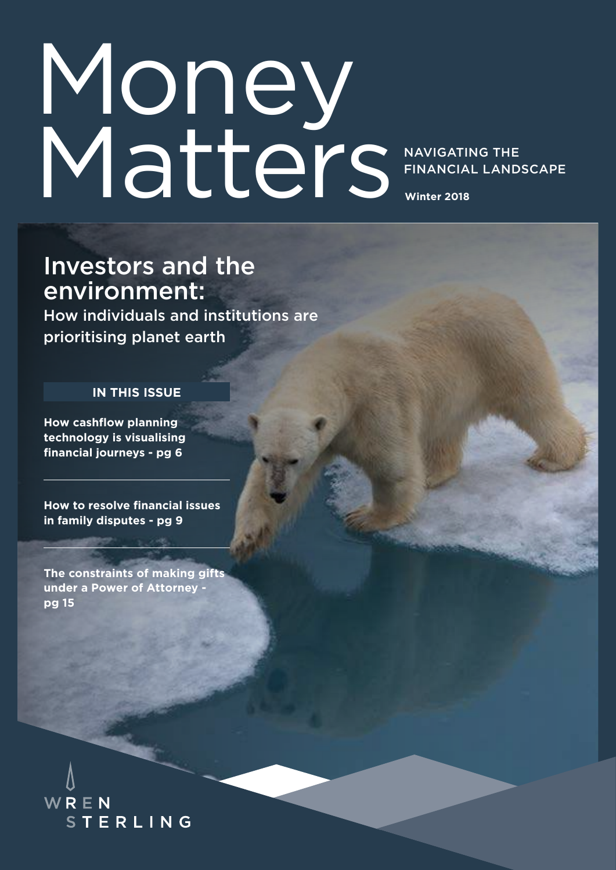# **Winter 2018** Money Matters

NAVIGATING THE FINANCIAL LANDSCAPE

### Investors and the environment:

How individuals and institutions are prioritising planet earth

#### **IN THIS ISSUE**

**How cashflow planning technology is visualising financial journeys - pg 6**

**How to resolve financial issues in family disputes - pg 9**

**The constraints of making gifts under a Power of Attorney pg 15**

WREN **STERLING**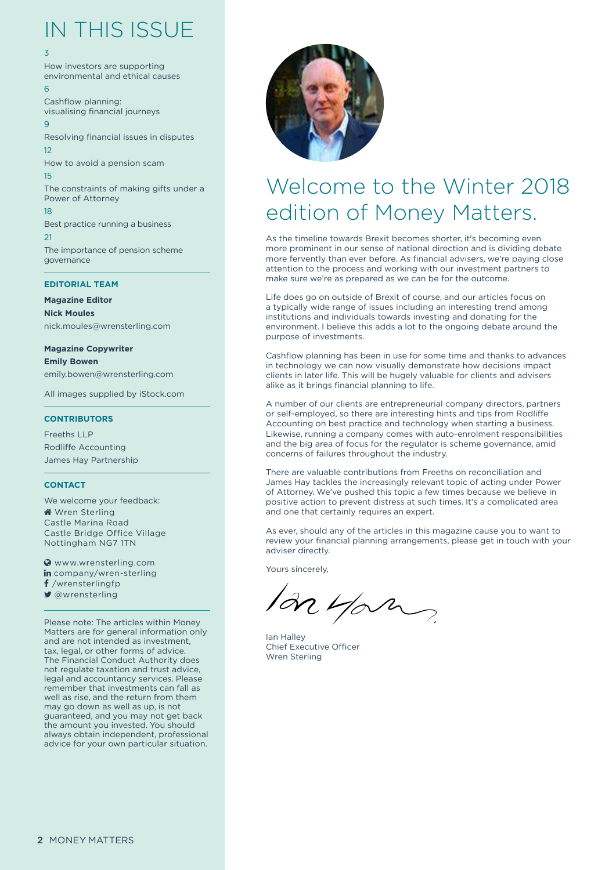### IN THIS ISSUE

#### 3

How investors are supporting environmental and ethical causes 6

Cashflow planning: visualising financial journeys  $\overline{q}$ Resolving financial issues in disputes 12 How to avoid a pension scam 15

The constraints of making gifts under a Power of Attorney 18

Best practice running a business  $21$ The importance of pension scheme

governance

#### **EDITORIAL TEAM**

**Magazine Editor Nick Moules** nick.moules@wrensterling.com

**Magazine Copywriter**

**Emily Bowen** emily.bowen@wrensterling.com

All images supplied by iStock.com

#### **CONTRIBUTORS**

Freeths LLP Rodliffe Accounting James Hay Partnership

#### **CONTACT**

We welcome your feedback: **Wren Sterling** Castle Marina Road Castle Bridge Office Village Nottingham NG7 1TN

 www.wrensterling.com in company/wren-sterling f /wrensterlingfp ■ @wrensterling

Please note: The articles within Money Matters are for general information only and are not intended as investment, tax, legal, or other forms of advice. The Financial Conduct Authority does not regulate taxation and trust advice, legal and accountancy services. Please remember that investments can fall as well as rise, and the return from them may go down as well as up, is not guaranteed, and you may not get back the amount you invested. You should always obtain independent, professional advice for your own particular situation.



### Welcome to the Winter 2018 edition of Money Matters.

As the timeline towards Brexit becomes shorter, it's becoming even more prominent in our sense of national direction and is dividing debate more fervently than ever before. As financial advisers, we're paying close attention to the process and working with our investment partners to make sure we're as prepared as we can be for the outcome.

Life does go on outside of Brexit of course, and our articles focus on a typically wide range of issues including an interesting trend among institutions and individuals towards investing and donating for the environment. I believe this adds a lot to the ongoing debate around the purpose of investments.

Cashflow planning has been in use for some time and thanks to advances in technology we can now visually demonstrate how decisions impact clients in later life. This will be hugely valuable for clients and advisers alike as it brings financial planning to life.

A number of our clients are entrepreneurial company directors, partners or self-employed, so there are interesting hints and tips from Rodliffe Accounting on best practice and technology when starting a business. Likewise, running a company comes with auto-enrolment responsibilities and the big area of focus for the regulator is scheme governance, amid concerns of failures throughout the industry.

There are valuable contributions from Freeths on reconciliation and James Hay tackles the increasingly relevant topic of acting under Power of Attorney. We've pushed this topic a few times because we believe in positive action to prevent distress at such times. It's a complicated area and one that certainly requires an expert.

As ever, should any of the articles in this magazine cause you to want to review your financial planning arrangements, please get in touch with your adviser directly.

Yours sincerely,

an yan

Ian Halley Chief Executive Officer Wren Sterling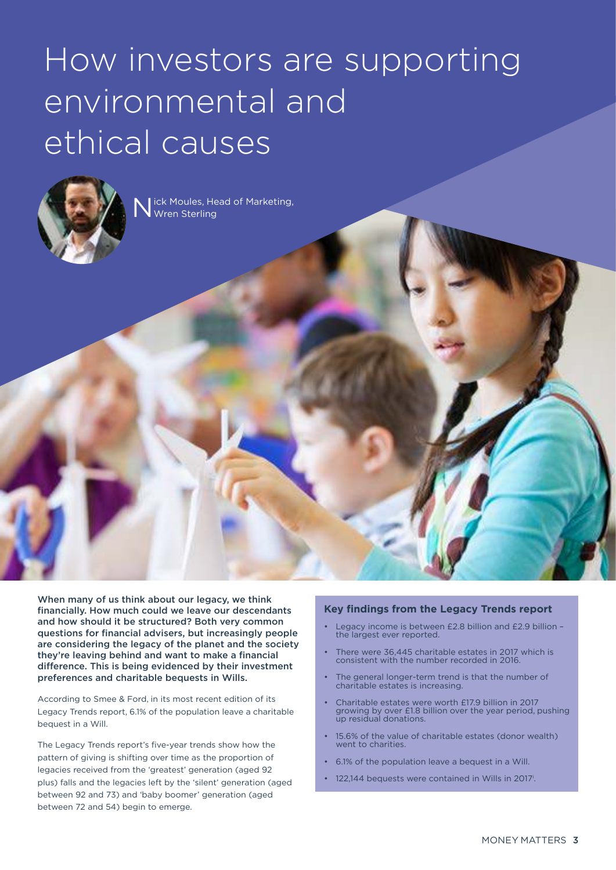## How investors are supporting environmental and Five crucial questions to help you ethical causes



N ick Moules, Head of Marketing, Wren Sterling

When many of us think about our legacy, we think financially. How much could we leave our descendants and how should it be structured? Both very common questions for financial advisers, but increasingly people are considering the legacy of the planet and the society they're leaving behind and want to make a financial difference. This is being evidenced by their investment preferences and charitable bequests in Wills.

According to Smee & Ford, in its most recent edition of its Legacy Trends report, 6.1% of the population leave a charitable bequest in a Will.

The Legacy Trends report's five-year trends show how the pattern of giving is shifting over time as the proportion of legacies received from the 'greatest' generation (aged 92 plus) falls and the legacies left by the 'silent' generation (aged between 92 and 73) and 'baby boomer' generation (aged between 72 and 54) begin to emerge.

#### **Key findings from the Legacy Trends report**

- Legacy income is between £2.8 billion and £2.9 billion the largest ever reported.
- There were 36,445 charitable estates in 2017 which is consistent with the number recorded in 2016.
- The general longer-term trend is that the number of charitable estates is increasing.
- Charitable estates were worth £17.9 billion in 2017 growing by over £1.8 billion over the year period, pushing up residual donations.
- 15.6% of the value of charitable estates (donor wealth) went to charities.
- 6.1% of the population leave a bequest in a Will.
- 122,144 bequests were contained in Wills in 2017<sup>i</sup>.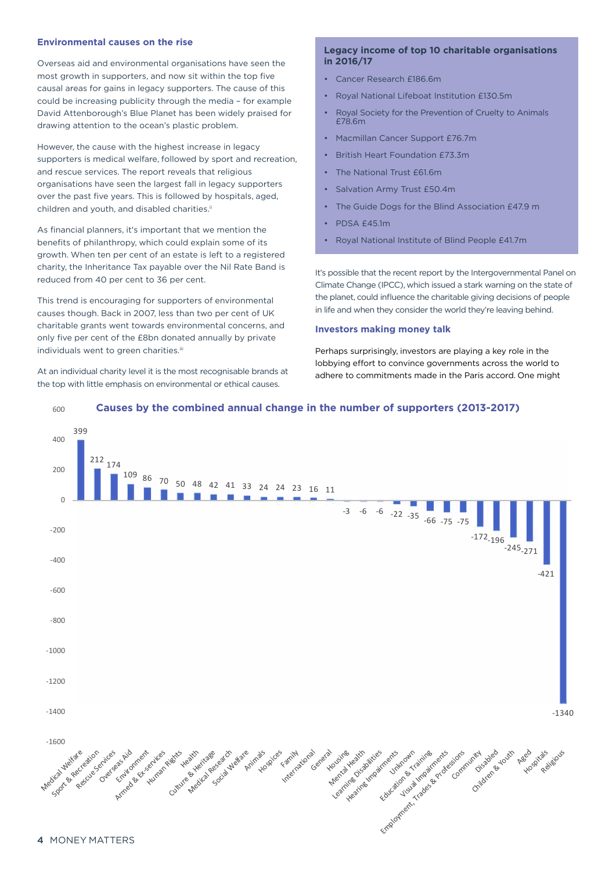#### **Environmental causes on the rise**

Overseas aid and environmental organisations have seen the most growth in supporters, and now sit within the top five causal areas for gains in legacy supporters. The cause of this could be increasing publicity through the media – for example David Attenborough's Blue Planet has been widely praised for drawing attention to the ocean's plastic problem.

However, the cause with the highest increase in legacy supporters is medical welfare, followed by sport and recreation, and rescue services. The report reveals that religious organisations have seen the largest fall in legacy supporters over the past five years. This is followed by hospitals, aged, children and youth, and disabled charities.<sup>ii</sup>

As financial planners, it's important that we mention the benefits of philanthropy, which could explain some of its growth. When ten per cent of an estate is left to a registered charity, the Inheritance Tax payable over the Nil Rate Band is reduced from 40 per cent to 36 per cent.

This trend is encouraging for supporters of environmental causes though. Back in 2007, less than two per cent of UK charitable grants went towards environmental concerns, and only five per cent of the £8bn donated annually by private individuals went to green charities.<sup>iii</sup>

At an individual charity level it is the most recognisable brands at the top with little emphasis on environmental or ethical causes.

#### **Legacy income of top 10 charitable organisations in 2016/17**

- Cancer Research £186.6m
- Royal National Lifeboat Institution £130.5m
- Royal Society for the Prevention of Cruelty to Animals £78.6m
- Macmillan Cancer Support £76.7m
- British Heart Foundation £73.3m
- The National Trust £61.6m
- Salvation Army Trust £50.4m
- The Guide Dogs for the Blind Association £47.9 m
- PDSA £45.1m
- Royal National Institute of Blind People £41.7m

It's possible that the recent report by the Intergovernmental Panel on Climate Change (IPCC), which issued a stark warning on the state of the planet, could influence the charitable giving decisions of people in life and when they consider the world they're leaving behind.

#### **Investors making money talk**

Perhaps surprisingly, investors are playing a key role in the lobbying effort to convince governments across the world to adhere to commitments made in the Paris accord. One might



#### 600 **Causes by the combined annual change in the number of supporters (2013-2017)**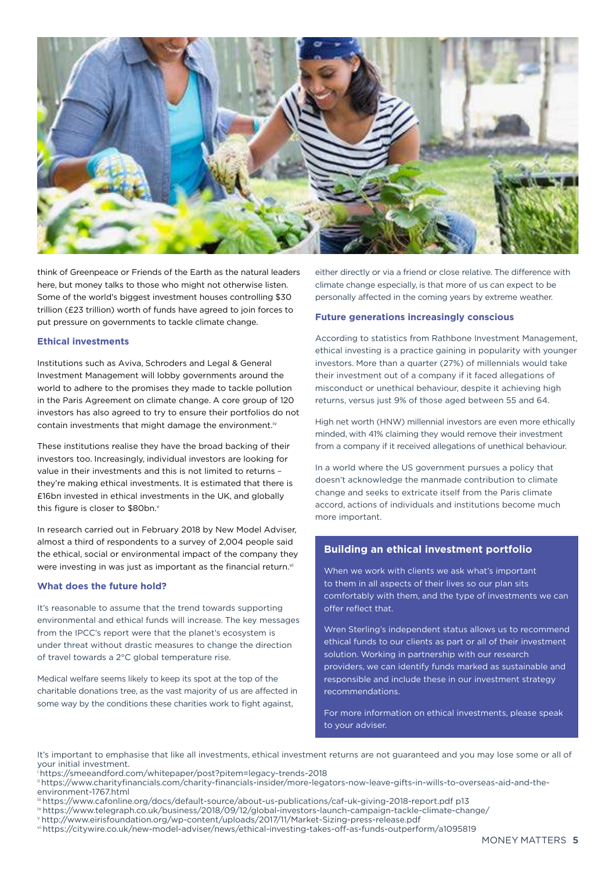

think of Greenpeace or Friends of the Earth as the natural leaders here, but money talks to those who might not otherwise listen. Some of the world's biggest investment houses controlling \$30 trillion (£23 trillion) worth of funds have agreed to join forces to put pressure on governments to tackle climate change.

#### **Ethical investments**

Institutions such as Aviva, Schroders and Legal & General Investment Management will lobby governments around the world to adhere to the promises they made to tackle pollution in the Paris Agreement on climate change. A core group of 120 investors has also agreed to try to ensure their portfolios do not contain investments that might damage the environment.iv

These institutions realise they have the broad backing of their investors too. Increasingly, individual investors are looking for value in their investments and this is not limited to returns – they're making ethical investments. It is estimated that there is £16bn invested in ethical investments in the UK, and globally this figure is closer to \$80bn.v

In research carried out in February 2018 by New Model Adviser, almost a third of respondents to a survey of 2,004 people said the ethical, social or environmental impact of the company they were investing in was just as important as the financial return.<sup>vi</sup>

#### **What does the future hold?**

It's reasonable to assume that the trend towards supporting environmental and ethical funds will increase. The key messages from the IPCC's report were that the planet's ecosystem is under threat without drastic measures to change the direction of travel towards a 2°C global temperature rise.

Medical welfare seems likely to keep its spot at the top of the charitable donations tree, as the vast majority of us are affected in some way by the conditions these charities work to fight against,

either directly or via a friend or close relative. The difference with climate change especially, is that more of us can expect to be personally affected in the coming years by extreme weather.

#### **Future generations increasingly conscious**

According to statistics from Rathbone Investment Management, ethical investing is a practice gaining in popularity with younger investors. More than a quarter (27%) of millennials would take their investment out of a company if it faced allegations of misconduct or unethical behaviour, despite it achieving high returns, versus just 9% of those aged between 55 and 64.

High net worth (HNW) millennial investors are even more ethically minded, with 41% claiming they would remove their investment from a company if it received allegations of unethical behaviour.

In a world where the US government pursues a policy that doesn't acknowledge the manmade contribution to climate change and seeks to extricate itself from the Paris climate accord, actions of individuals and institutions become much more important.

#### **Building an ethical investment portfolio**

When we work with clients we ask what's important to them in all aspects of their lives so our plan sits comfortably with them, and the type of investments we can offer reflect that.

Wren Sterling's independent status allows us to recommend ethical funds to our clients as part or all of their investment solution. Working in partnership with our research providers, we can identify funds marked as sustainable and responsible and include these in our investment strategy recommendations.

For more information on ethical investments, please speak to your adviser.

It's important to emphasise that like all investments, ethical investment returns are not guaranteed and you may lose some or all of your initial investment.

- <sup>i</sup>https://smeeandford.com/whitepaper/post?pitem=legacy-trends-2018
- ii https://www.charityfinancials.com/charity-financials-insider/more-legators-now-leave-gifts-in-wills-to-overseas-aid-and-theenvironment-1767.html
- iii https://www.cafonline.org/docs/default-source/about-us-publications/caf-uk-giving-2018-report.pdf p13
- iv https://www.telegraph.co.uk/business/2018/09/12/global-investors-launch-campaign-tackle-climate-change/
- <sup>v</sup>http://www.eirisfoundation.org/wp-content/uploads/2017/11/Market-Sizing-press-release.pdf
- vi https://citywire.co.uk/new-model-adviser/news/ethical-investing-takes-off-as-funds-outperform/a1095819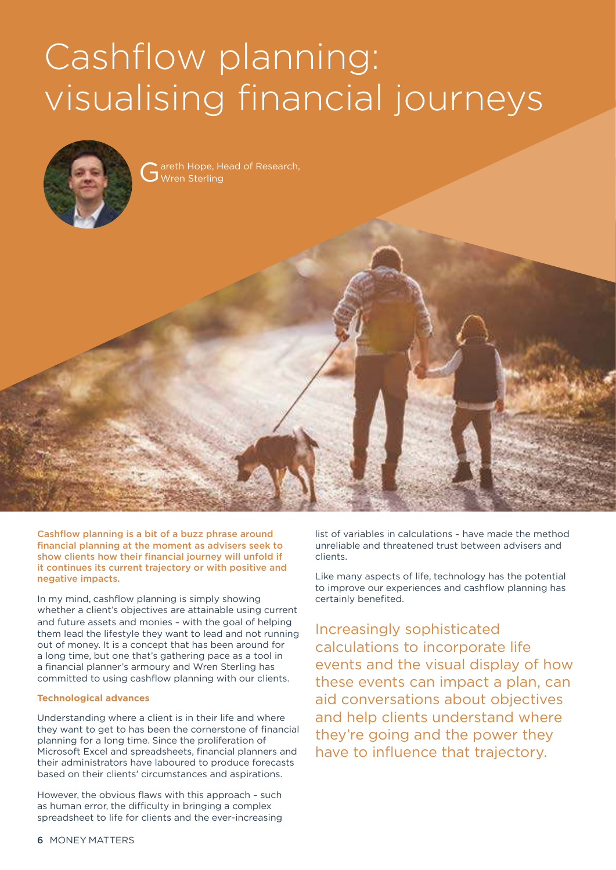## Cashflow planning: The importance when the cashflow planning: visualising financial journeys



Figure can be computed as a crucial question of the crucial questions to help you can be computed as a computation of the crucial computations of the crucial computations of the crucial computations of the crucial computat Gareth Hope, H<br>
Wren Sterling



Cashflow planning is a bit of a buzz phrase around financial planning at the moment as advisers seek to show clients how their financial journey will unfold if it continues its current trajectory or with positive and negative impacts.

In my mind, cashflow planning is simply showing whether a client's objectives are attainable using current and future assets and monies – with the goal of helping them lead the lifestyle they want to lead and not running out of money. It is a concept that has been around for a long time, but one that's gathering pace as a tool in a financial planner's armoury and Wren Sterling has committed to using cashflow planning with our clients.

#### **Technological advances**

Understanding where a client is in their life and where they want to get to has been the cornerstone of financial planning for a long time. Since the proliferation of Microsoft Excel and spreadsheets, financial planners and their administrators have laboured to produce forecasts based on their clients' circumstances and aspirations.

However, the obvious flaws with this approach – such as human error, the difficulty in bringing a complex spreadsheet to life for clients and the ever-increasing

list of variables in calculations – have made the method unreliable and threatened trust between advisers and clients.

Like many aspects of life, technology has the potential to improve our experiences and cashflow planning has certainly benefited.

Increasingly sophisticated calculations to incorporate life events and the visual display of how these events can impact a plan, can aid conversations about objectives and help clients understand where they're going and the power they have to influence that trajectory.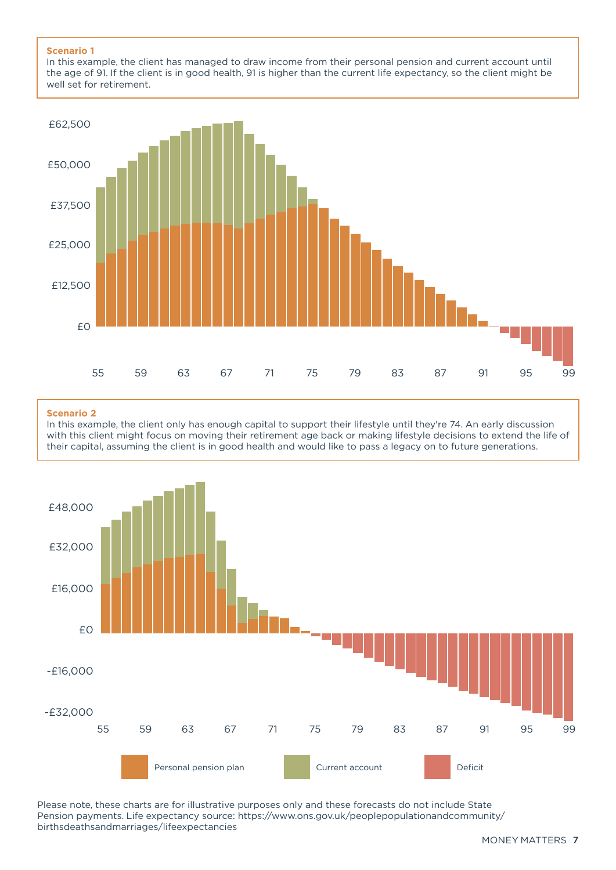#### **Scenario 1**

In this example, the client has managed to draw income from their personal pension and current account until the age of 91. If the client is in good health, 91 is higher than the current life expectancy, so the client might be well set for retirement.



#### **Scenario 2**

In this example, the client only has enough capital to support their lifestyle until they're 74. An early discussion with this client might focus on moving their retirement age back or making lifestyle decisions to extend the life of their capital, assuming the client is in good health and would like to pass a legacy on to future generations.



Please note, these charts are for illustrative purposes only and these forecasts do not include State Pension payments. Life expectancy source: https://www.ons.gov.uk/peoplepopulationandcommunity/ birthsdeathsandmarriages/lifeexpectancies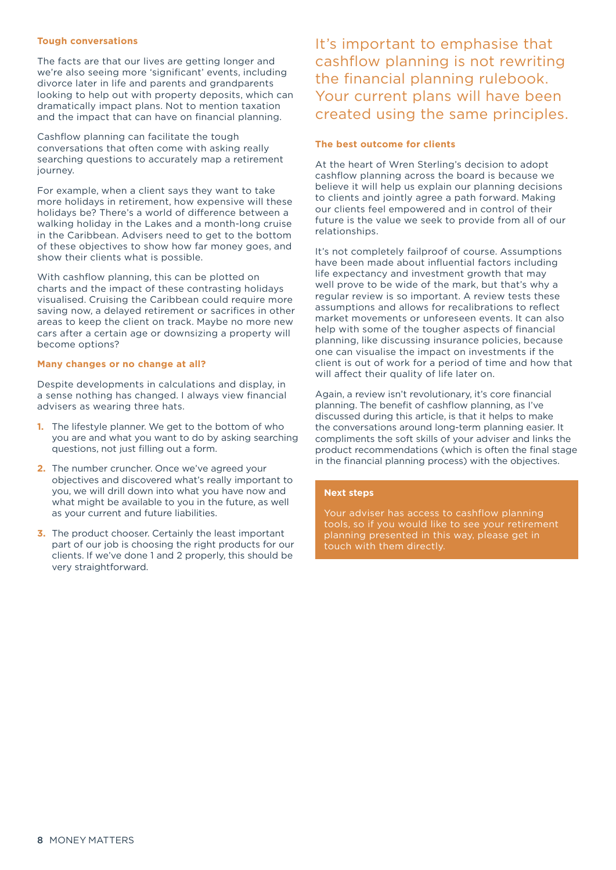#### **Tough conversations**

The facts are that our lives are getting longer and we're also seeing more 'significant' events, including divorce later in life and parents and grandparents looking to help out with property deposits, which can dramatically impact plans. Not to mention taxation and the impact that can have on financial planning.

Cashflow planning can facilitate the tough conversations that often come with asking really searching questions to accurately map a retirement journey.

For example, when a client says they want to take more holidays in retirement, how expensive will these holidays be? There's a world of difference between a walking holiday in the Lakes and a month-long cruise in the Caribbean. Advisers need to get to the bottom of these objectives to show how far money goes, and show their clients what is possible.

With cashflow planning, this can be plotted on charts and the impact of these contrasting holidays visualised. Cruising the Caribbean could require more saving now, a delayed retirement or sacrifices in other areas to keep the client on track. Maybe no more new cars after a certain age or downsizing a property will become options?

#### **Many changes or no change at all?**

Despite developments in calculations and display, in a sense nothing has changed. I always view financial advisers as wearing three hats.

- **1.** The lifestyle planner. We get to the bottom of who you are and what you want to do by asking searching questions, not just filling out a form.
- **2.** The number cruncher. Once we've agreed your objectives and discovered what's really important to you, we will drill down into what you have now and what might be available to you in the future, as well as your current and future liabilities.
- **3.** The product chooser. Certainly the least important part of our job is choosing the right products for our clients. If we've done 1 and 2 properly, this should be very straightforward.

It's important to emphasise that cashflow planning is not rewriting the financial planning rulebook. Your current plans will have been created using the same principles.

#### **The best outcome for clients**

At the heart of Wren Sterling's decision to adopt cashflow planning across the board is because we believe it will help us explain our planning decisions to clients and jointly agree a path forward. Making our clients feel empowered and in control of their future is the value we seek to provide from all of our relationships.

It's not completely failproof of course. Assumptions have been made about influential factors including life expectancy and investment growth that may well prove to be wide of the mark, but that's why a regular review is so important. A review tests these assumptions and allows for recalibrations to reflect market movements or unforeseen events. It can also help with some of the tougher aspects of financial planning, like discussing insurance policies, because one can visualise the impact on investments if the client is out of work for a period of time and how that will affect their quality of life later on.

Again, a review isn't revolutionary, it's core financial planning. The benefit of cashflow planning, as I've discussed during this article, is that it helps to make the conversations around long-term planning easier. It compliments the soft skills of your adviser and links the product recommendations (which is often the final stage in the financial planning process) with the objectives.

#### **Next steps**

Your adviser has access to cashflow planning tools, so if you would like to see your retirement planning presented in this way, please get in touch with them directly.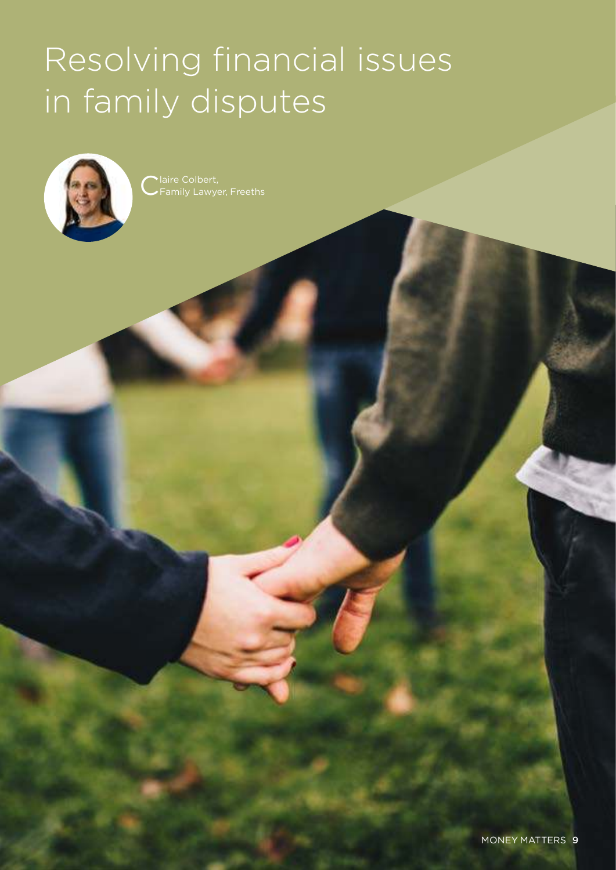## Resolving financial issues in family disputes



Claire Colbert,<br>CFamily Lawye Family Lawyer, Freeths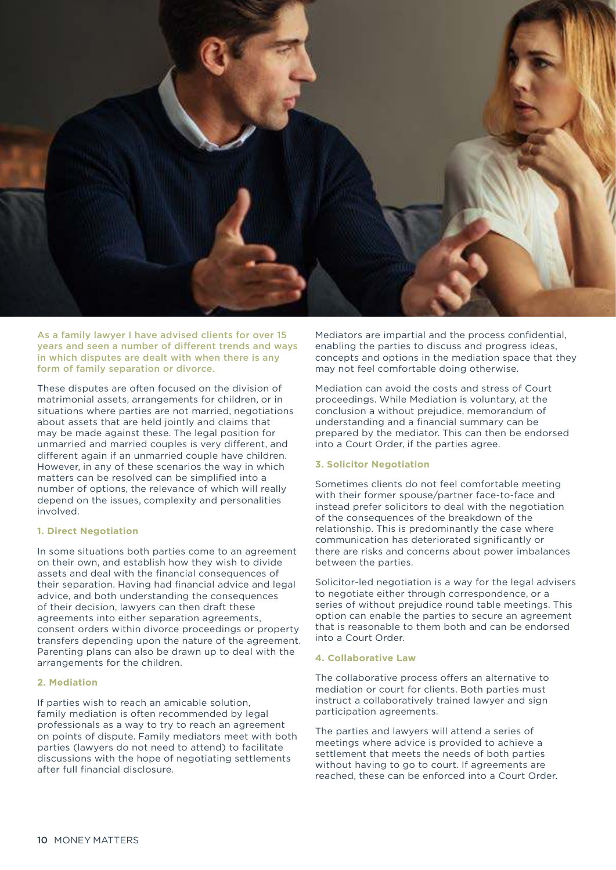

As a family lawyer I have advised clients for over 15 years and seen a number of different trends and ways in which disputes are dealt with when there is any form of family separation or divorce.

These disputes are often focused on the division of matrimonial assets, arrangements for children, or in situations where parties are not married, negotiations about assets that are held jointly and claims that may be made against these. The legal position for unmarried and married couples is very different, and different again if an unmarried couple have children. However, in any of these scenarios the way in which matters can be resolved can be simplified into a number of options, the relevance of which will really depend on the issues, complexity and personalities involved.

#### **1. Direct Negotiation**

In some situations both parties come to an agreement on their own, and establish how they wish to divide assets and deal with the financial consequences of their separation. Having had financial advice and legal advice, and both understanding the consequences of their decision, lawyers can then draft these agreements into either separation agreements, consent orders within divorce proceedings or property transfers depending upon the nature of the agreement. Parenting plans can also be drawn up to deal with the arrangements for the children.

#### **2. Mediation**

If parties wish to reach an amicable solution, family mediation is often recommended by legal professionals as a way to try to reach an agreement on points of dispute. Family mediators meet with both parties (lawyers do not need to attend) to facilitate discussions with the hope of negotiating settlements after full financial disclosure.

Mediators are impartial and the process confidential, enabling the parties to discuss and progress ideas, concepts and options in the mediation space that they may not feel comfortable doing otherwise.

Mediation can avoid the costs and stress of Court proceedings. While Mediation is voluntary, at the conclusion a without prejudice, memorandum of understanding and a financial summary can be prepared by the mediator. This can then be endorsed into a Court Order, if the parties agree.

#### **3. Solicitor Negotiation**

Sometimes clients do not feel comfortable meeting with their former spouse/partner face-to-face and instead prefer solicitors to deal with the negotiation of the consequences of the breakdown of the relationship. This is predominantly the case where communication has deteriorated significantly or there are risks and concerns about power imbalances between the parties.

Solicitor-led negotiation is a way for the legal advisers to negotiate either through correspondence, or a series of without prejudice round table meetings. This option can enable the parties to secure an agreement that is reasonable to them both and can be endorsed into a Court Order.

#### **4. Collaborative Law**

The collaborative process offers an alternative to mediation or court for clients. Both parties must instruct a collaboratively trained lawyer and sign participation agreements.

The parties and lawyers will attend a series of meetings where advice is provided to achieve a settlement that meets the needs of both parties without having to go to court. If agreements are reached, these can be enforced into a Court Order.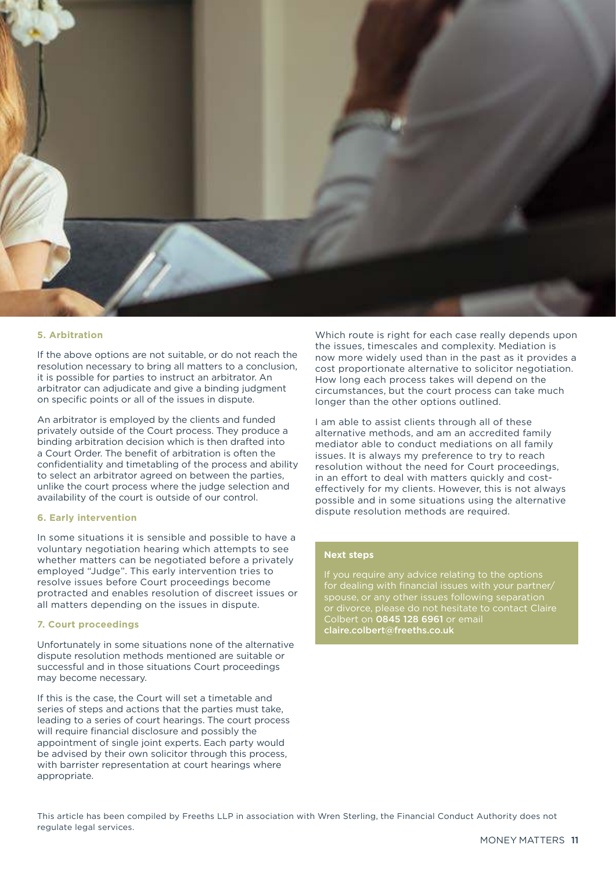

#### **5. Arbitration**

If the above options are not suitable, or do not reach the resolution necessary to bring all matters to a conclusion, it is possible for parties to instruct an arbitrator. An arbitrator can adjudicate and give a binding judgment on specific points or all of the issues in dispute.

An arbitrator is employed by the clients and funded privately outside of the Court process. They produce a binding arbitration decision which is then drafted into a Court Order. The benefit of arbitration is often the confidentiality and timetabling of the process and ability to select an arbitrator agreed on between the parties, unlike the court process where the judge selection and availability of the court is outside of our control.

#### **6. Early intervention**

In some situations it is sensible and possible to have a voluntary negotiation hearing which attempts to see whether matters can be negotiated before a privately employed "Judge". This early intervention tries to resolve issues before Court proceedings become protracted and enables resolution of discreet issues or all matters depending on the issues in dispute.

#### **7. Court proceedings**

Unfortunately in some situations none of the alternative dispute resolution methods mentioned are suitable or successful and in those situations Court proceedings may become necessary.

If this is the case, the Court will set a timetable and series of steps and actions that the parties must take, leading to a series of court hearings. The court process will require financial disclosure and possibly the appointment of single joint experts. Each party would be advised by their own solicitor through this process, with barrister representation at court hearings where appropriate.

Which route is right for each case really depends upon the issues, timescales and complexity. Mediation is now more widely used than in the past as it provides a cost proportionate alternative to solicitor negotiation. How long each process takes will depend on the circumstances, but the court process can take much longer than the other options outlined.

I am able to assist clients through all of these alternative methods, and am an accredited family mediator able to conduct mediations on all family issues. It is always my preference to try to reach resolution without the need for Court proceedings, in an effort to deal with matters quickly and costeffectively for my clients. However, this is not always possible and in some situations using the alternative dispute resolution methods are required.

#### **Next steps**

for dealing with financial issues with your partner/ spouse, or any other issues following separation or divorce, please do not hesitate to contact Claire Colbert on 0845 128 6961 or email claire.colbert@freeths.co.uk

This article has been compiled by Freeths LLP in association with Wren Sterling, the Financial Conduct Authority does not regulate legal services.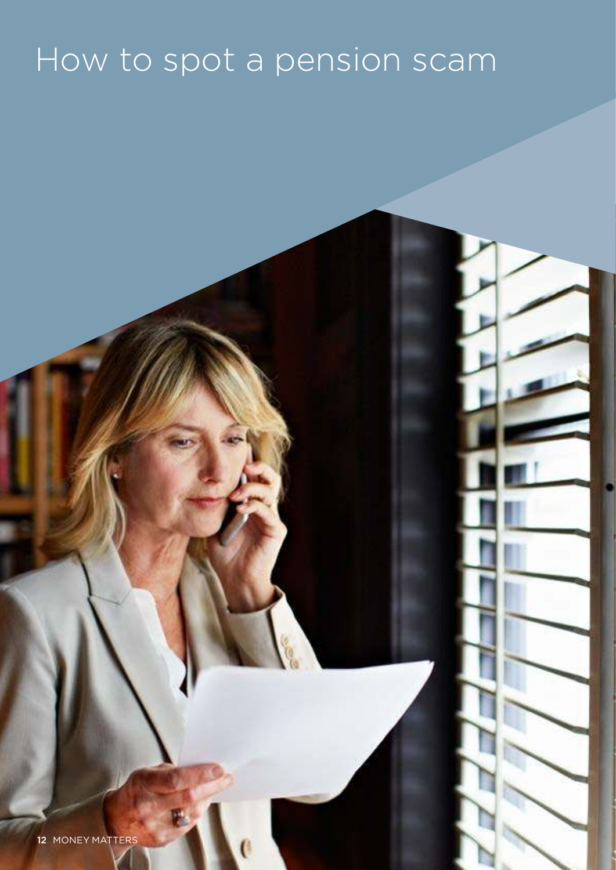## How to spot a pension scam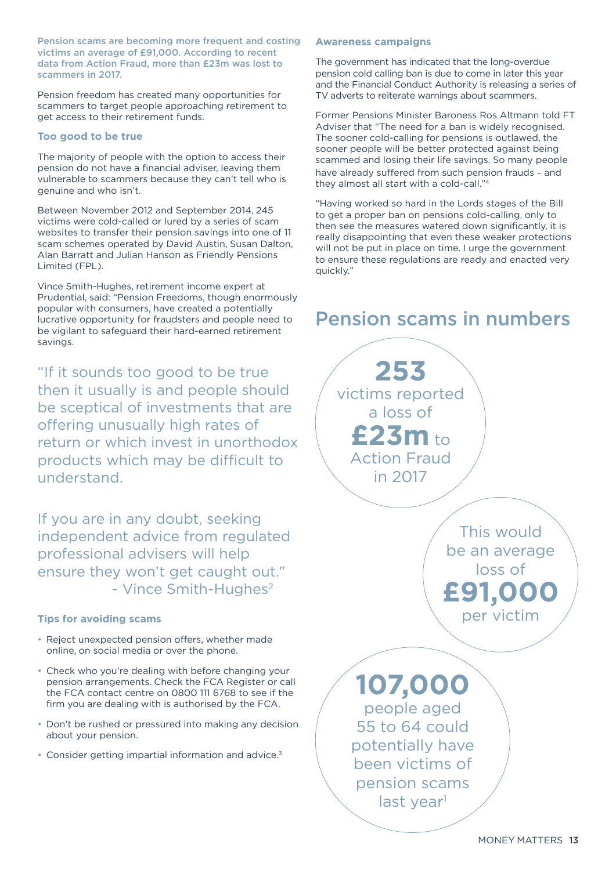Pension scams are becoming more frequent and costing victims an average of £91,000. According to recent data from Action Fraud, more than £23m was lost to scammers in 2017.

Pension freedom has created many opportunities for scammers to target people approaching retirement to get access to their retirement funds.

#### **Too good to be true**

The majority of people with the option to access their pension do not have a financial adviser, leaving them vulnerable to scammers because they can't tell who is genuine and who isn't.

Between November 2012 and September 2014, 245 victims were cold-called or lured by a series of scam websites to transfer their pension savings into one of 11 scam schemes operated by David Austin, Susan Dalton, Alan Barratt and Julian Hanson as Friendly Pensions Limited (FPL).

Vince Smith-Hughes, retirement income expert at Prudential, said: "Pension Freedoms, though enormously popular with consumers, have created a potentially lucrative opportunity for fraudsters and people need to be vigilant to safeguard their hard-earned retirement savings.

"If it sounds too good to be true then it usually is and people should be sceptical of investments that are offering unusually high rates of return or which invest in unorthodox products which may be difficult to understand.

If you are in any doubt, seeking independent advice from regulated professional advisers will help ensure they won't get caught out." - Vince Smith-Hughes<sup>2</sup>

#### **Tips for avoiding scams**

- Reject unexpected pension offers, whether made online, on social media or over the phone.
- Check who you're dealing with before changing your pension arrangements. Check the FCA Register or call the FCA contact centre on 0800 111 6768 to see if the firm you are dealing with is authorised by the FCA.
- Don't be rushed or pressured into making any decision about your pension.
- Consider getting impartial information and advice.<sup>3</sup>

#### **Awareness campaigns**

The government has indicated that the long-overdue pension cold calling ban is due to come in later this year and the Financial Conduct Authority is releasing a series of TV adverts to reiterate warnings about scammers.

Former Pensions Minister Baroness Ros Altmann told FT Adviser that "The need for a ban is widely recognised. The sooner cold-calling for pensions is outlawed, the sooner people will be better protected against being scammed and losing their life savings. So many people have already suffered from such pension frauds – and they almost all start with a cold-call."<sup>4</sup>

"Having worked so hard in the Lords stages of the Bill to get a proper ban on pensions cold-calling, only to then see the measures watered down significantly, it is really disappointing that even these weaker protections will not be put in place on time. I urge the government to ensure these regulations are ready and enacted very quickly."

### Pension scams in numbers

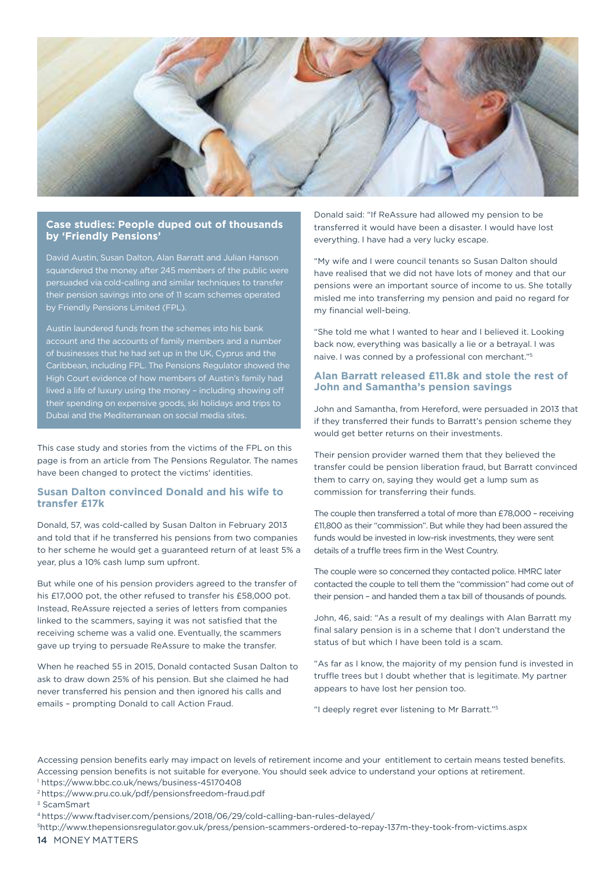

#### **Case studies: People duped out of thousands by 'Friendly Pensions'**

David Austin, Susan Dalton, Alan Barratt and Julian Hanson squandered the money after 245 members of the public were persuaded via cold-calling and similar techniques to transfer eir pension savings into one of 11 scam schemes operated by Friendly Pensions Limited (FPL).

Austin laundered funds from the schemes into his bank account and the accounts of family members and a number of businesses that he had set up in the UK, Cyprus and the Caribbean, including FPL. The Pensions Regulator showed the lived a life of luxury using the money – including showing off their spending on expensive goods, ski holidays and trips to Dubai and the Mediterranean on social media sites.

This case study and stories from the victims of the FPL on this page is from an article from The Pensions Regulator. The names have been changed to protect the victims' identities.

#### **Susan Dalton convinced Donald and his wife to transfer £17k**

Donald, 57, was cold-called by Susan Dalton in February 2013 and told that if he transferred his pensions from two companies to her scheme he would get a guaranteed return of at least 5% a year, plus a 10% cash lump sum upfront.

But while one of his pension providers agreed to the transfer of his £17,000 pot, the other refused to transfer his £58,000 pot. Instead, ReAssure rejected a series of letters from companies linked to the scammers, saying it was not satisfied that the receiving scheme was a valid one. Eventually, the scammers gave up trying to persuade ReAssure to make the transfer.

When he reached 55 in 2015, Donald contacted Susan Dalton to ask to draw down 25% of his pension. But she claimed he had never transferred his pension and then ignored his calls and emails – prompting Donald to call Action Fraud.

Donald said: "If ReAssure had allowed my pension to be transferred it would have been a disaster. I would have lost everything. I have had a very lucky escape.

"My wife and I were council tenants so Susan Dalton should have realised that we did not have lots of money and that our pensions were an important source of income to us. She totally misled me into transferring my pension and paid no regard for my financial well-being.

"She told me what I wanted to hear and I believed it. Looking back now, everything was basically a lie or a betrayal. I was naive. I was conned by a professional con merchant."<sup>5</sup>

#### **Alan Barratt released £11.8k and stole the rest of John and Samantha's pension savings**

John and Samantha, from Hereford, were persuaded in 2013 that if they transferred their funds to Barratt's pension scheme they would get better returns on their investments.

Their pension provider warned them that they believed the transfer could be pension liberation fraud, but Barratt convinced them to carry on, saying they would get a lump sum as commission for transferring their funds.

The couple then transferred a total of more than £78,000 – receiving £11,800 as their "commission". But while they had been assured the funds would be invested in low-risk investments, they were sent details of a truffle trees firm in the West Country.

The couple were so concerned they contacted police. HMRC later contacted the couple to tell them the "commission" had come out of their pension – and handed them a tax bill of thousands of pounds.

John, 46, said: "As a result of my dealings with Alan Barratt my final salary pension is in a scheme that I don't understand the status of but which I have been told is a scam.

"As far as I know, the majority of my pension fund is invested in truffle trees but I doubt whether that is legitimate. My partner appears to have lost her pension too.

"I deeply regret ever listening to Mr Barratt."<sup>5</sup>

Accessing pension benefits early may impact on levels of retirement income and your entitlement to certain means tested benefits. Accessing pension benefits is not suitable for everyone. You should seek advice to understand your options at retirement. 1 https://www.bbc.co.uk/news/business-45170408

<sup>2</sup>https://www.pru.co.uk/pdf/pensionsfreedom-fraud.pdf

<sup>5</sup>http://www.thepensionsregulator.gov.uk/press/pension-scammers-ordered-to-repay-137m-they-took-from-victims.aspx

14 MONEY MATTERS

<sup>3</sup> ScamSmart

<sup>4</sup>https://www.ftadviser.com/pensions/2018/06/29/cold-calling-ban-rules-delayed/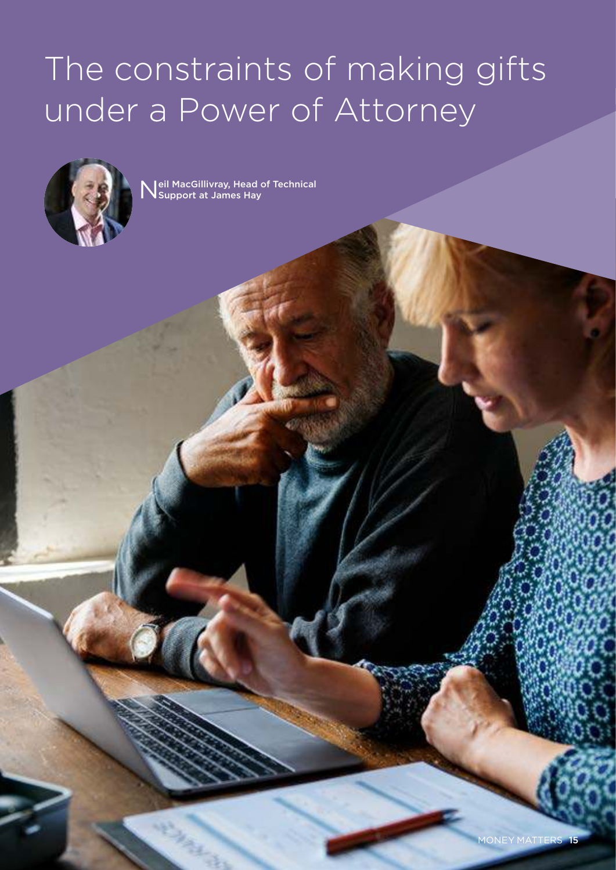## The constraints of making gifts under a Power of Attorney



Neil MacGillivray, Head of Technical<br>Nupport at James Hay Support at James Hay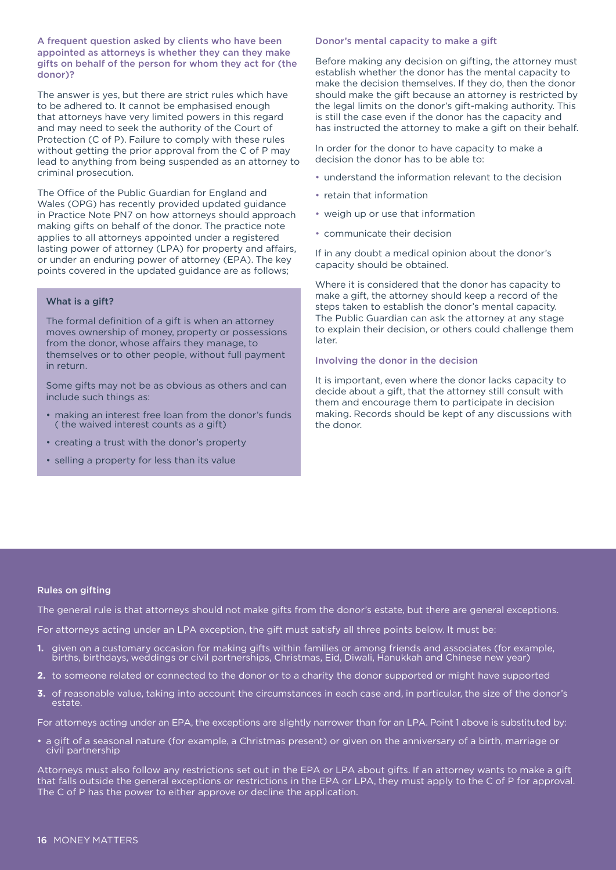A frequent question asked by clients who have been appointed as attorneys is whether they can they make gifts on behalf of the person for whom they act for (the donor)?

The answer is yes, but there are strict rules which have to be adhered to. It cannot be emphasised enough that attorneys have very limited powers in this regard and may need to seek the authority of the Court of Protection (C of P). Failure to comply with these rules without getting the prior approval from the C of P may lead to anything from being suspended as an attorney to criminal prosecution.

The Office of the Public Guardian for England and Wales (OPG) has recently provided updated guidance in Practice Note PN7 on how attorneys should approach making gifts on behalf of the donor. The practice note applies to all attorneys appointed under a registered lasting power of attorney (LPA) for property and affairs, or under an enduring power of attorney (EPA). The key points covered in the updated guidance are as follows;

#### What is a gift?

The formal definition of a gift is when an attorney moves ownership of money, property or possessions from the donor, whose affairs they manage, to themselves or to other people, without full payment in return.

Some gifts may not be as obvious as others and can include such things as:

- making an interest free loan from the donor's funds ( the waived interest counts as a gift)
- creating a trust with the donor's property
- selling a property for less than its value

#### Donor's mental capacity to make a gift

Before making any decision on gifting, the attorney must establish whether the donor has the mental capacity to make the decision themselves. If they do, then the donor should make the gift because an attorney is restricted by the legal limits on the donor's gift-making authority. This is still the case even if the donor has the capacity and has instructed the attorney to make a gift on their behalf.

In order for the donor to have capacity to make a decision the donor has to be able to:

- understand the information relevant to the decision
- retain that information
- weigh up or use that information
- communicate their decision

If in any doubt a medical opinion about the donor's capacity should be obtained.

Where it is considered that the donor has capacity to make a gift, the attorney should keep a record of the steps taken to establish the donor's mental capacity. The Public Guardian can ask the attorney at any stage to explain their decision, or others could challenge them later.

Involving the donor in the decision

It is important, even where the donor lacks capacity to decide about a gift, that the attorney still consult with them and encourage them to participate in decision making. Records should be kept of any discussions with the donor.

#### Rules on gifting

The general rule is that attorneys should not make gifts from the donor's estate, but there are general exceptions.

For attorneys acting under an LPA exception, the gift must satisfy all three points below. It must be:

- **1.** given on a customary occasion for making gifts within families or among friends and associates (for example, births, birthdays, weddings or civil partnerships, Christmas, Eid, Diwali, Hanukkah and Chinese new year)
- **2.** to someone related or connected to the donor or to a charity the donor supported or might have supported
- **3.** of reasonable value, taking into account the circumstances in each case and, in particular, the size of the donor's estate.

For attorneys acting under an EPA, the exceptions are slightly narrower than for an LPA. Point 1 above is substituted by:

• a gift of a seasonal nature (for example, a Christmas present) or given on the anniversary of a birth, marriage or civil partnership

Attorneys must also follow any restrictions set out in the EPA or LPA about gifts. If an attorney wants to make a gift that falls outside the general exceptions or restrictions in the EPA or LPA, they must apply to the C of P for approval. The C of P has the power to either approve or decline the application.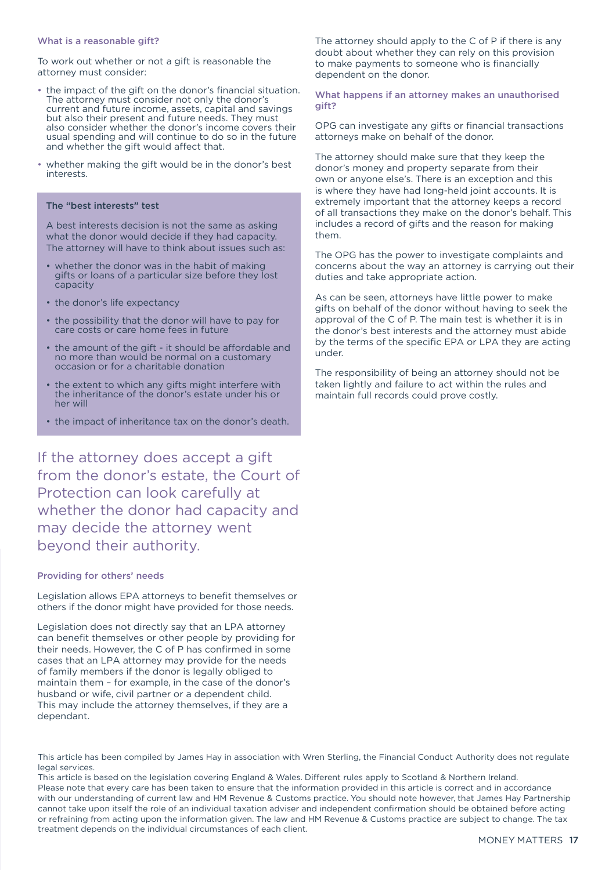#### What is a reasonable gift?

To work out whether or not a gift is reasonable the attorney must consider:

- the impact of the gift on the donor's financial situation. The attorney must consider not only the donor's current and future income, assets, capital and savings but also their present and future needs. They must also consider whether the donor's income covers their usual spending and will continue to do so in the future and whether the gift would affect that.
- whether making the gift would be in the donor's best interests.

#### The "best interests" test

A best interests decision is not the same as asking what the donor would decide if they had capacity. The attorney will have to think about issues such as:

- whether the donor was in the habit of making gifts or loans of a particular size before they lost capacity
- the donor's life expectancy
- the possibility that the donor will have to pay for care costs or care home fees in future
- the amount of the gift it should be affordable and no more than would be normal on a customary occasion or for a charitable donation
- the extent to which any gifts might interfere with the inheritance of the donor's estate under his or her will
- the impact of inheritance tax on the donor's death.

If the attorney does accept a gift from the donor's estate, the Court of Protection can look carefully at whether the donor had capacity and may decide the attorney went beyond their authority.

#### Providing for others' needs

Legislation allows EPA attorneys to benefit themselves or others if the donor might have provided for those needs.

Legislation does not directly say that an LPA attorney can benefit themselves or other people by providing for their needs. However, the C of P has confirmed in some cases that an LPA attorney may provide for the needs of family members if the donor is legally obliged to maintain them – for example, in the case of the donor's husband or wife, civil partner or a dependent child. This may include the attorney themselves, if they are a dependant.

The attorney should apply to the C of P if there is any doubt about whether they can rely on this provision to make payments to someone who is financially dependent on the donor.

What happens if an attorney makes an unauthorised gift?

OPG can investigate any gifts or financial transactions attorneys make on behalf of the donor.

The attorney should make sure that they keep the donor's money and property separate from their own or anyone else's. There is an exception and this is where they have had long-held joint accounts. It is extremely important that the attorney keeps a record of all transactions they make on the donor's behalf. This includes a record of gifts and the reason for making them.

The OPG has the power to investigate complaints and concerns about the way an attorney is carrying out their duties and take appropriate action.

As can be seen, attorneys have little power to make gifts on behalf of the donor without having to seek the approval of the C of P. The main test is whether it is in the donor's best interests and the attorney must abide by the terms of the specific EPA or LPA they are acting under.

The responsibility of being an attorney should not be taken lightly and failure to act within the rules and maintain full records could prove costly.

This article has been compiled by James Hay in association with Wren Sterling, the Financial Conduct Authority does not regulate legal services.

This article is based on the legislation covering England & Wales. Different rules apply to Scotland & Northern Ireland. Please note that every care has been taken to ensure that the information provided in this article is correct and in accordance with our understanding of current law and HM Revenue & Customs practice. You should note however, that James Hay Partnership cannot take upon itself the role of an individual taxation adviser and independent confirmation should be obtained before acting or refraining from acting upon the information given. The law and HM Revenue & Customs practice are subject to change. The tax treatment depends on the individual circumstances of each client.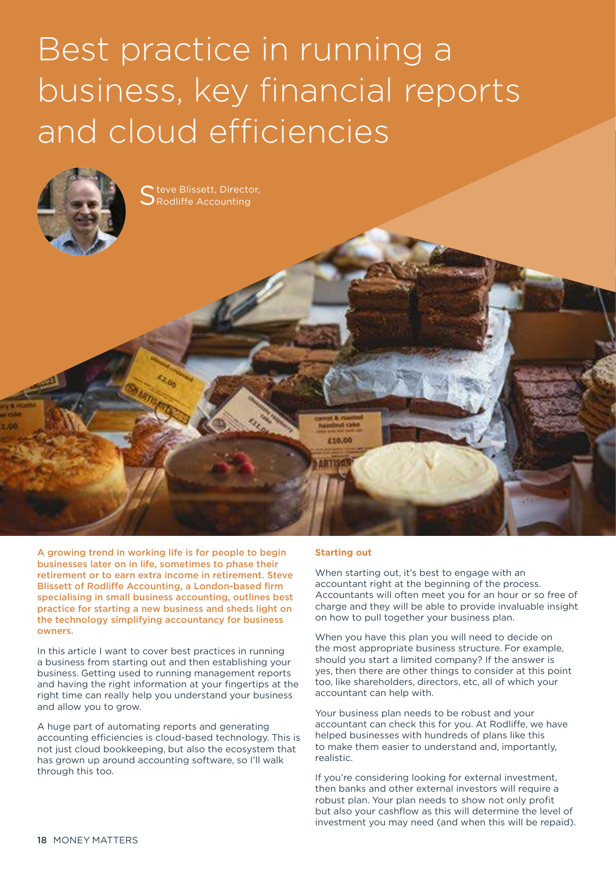## Best practice in running a business, key financial reports and cloud efficiencies



A growing trend in working life is for people to begin businesses later on in life, sometimes to phase their retirement or to earn extra income in retirement. Steve Blissett of Rodliffe Accounting, a London-based firm specialising in small business accounting, outlines best practice for starting a new business and sheds light on the technology simplifying accountancy for business owners.

In this article I want to cover best practices in running a business from starting out and then establishing your business. Getting used to running management reports and having the right information at your fingertips at the right time can really help you understand your business and allow you to grow.

A huge part of automating reports and generating accounting efficiencies is cloud-based technology. This is not just cloud bookkeeping, but also the ecosystem that has grown up around accounting software, so I'll walk through this too.

#### **Starting out**

When starting out, it's best to engage with an accountant right at the beginning of the process. Accountants will often meet you for an hour or so free of charge and they will be able to provide invaluable insight on how to pull together your business plan.

When you have this plan you will need to decide on the most appropriate business structure. For example, should you start a limited company? If the answer is yes, then there are other things to consider at this point too, like shareholders, directors, etc, all of which your accountant can help with.

Your business plan needs to be robust and your accountant can check this for you. At Rodliffe, we have helped businesses with hundreds of plans like this to make them easier to understand and, importantly, realistic.

If you're considering looking for external investment, then banks and other external investors will require a robust plan. Your plan needs to show not only profit but also your cashflow as this will determine the level of investment you may need (and when this will be repaid).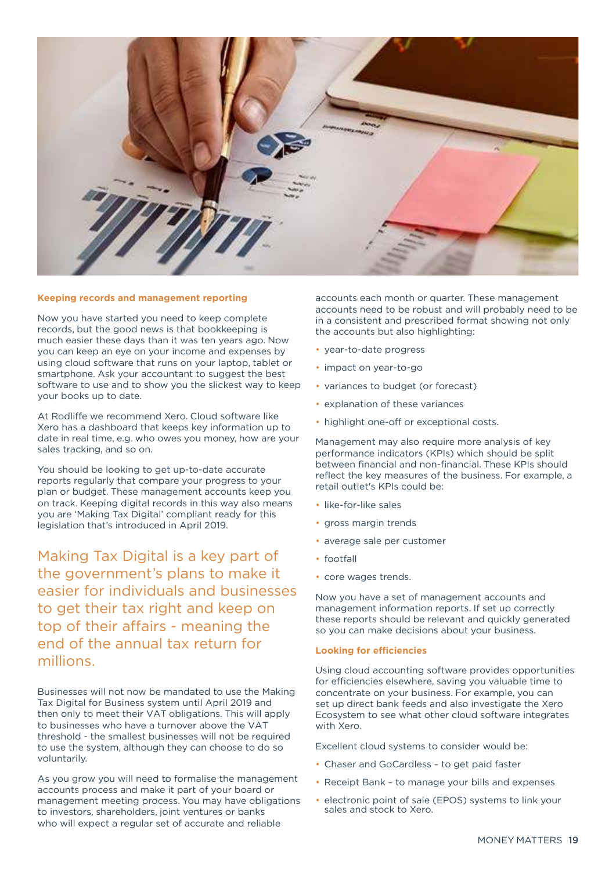

#### **Keeping records and management reporting**

Now you have started you need to keep complete records, but the good news is that bookkeeping is much easier these days than it was ten years ago. Now you can keep an eye on your income and expenses by using cloud software that runs on your laptop, tablet or smartphone. Ask your accountant to suggest the best software to use and to show you the slickest way to keep your books up to date.

At Rodliffe we recommend Xero. Cloud software like Xero has a dashboard that keeps key information up to date in real time, e.g. who owes you money, how are your sales tracking, and so on.

You should be looking to get up-to-date accurate reports regularly that compare your progress to your plan or budget. These management accounts keep you on track. Keeping digital records in this way also means you are 'Making Tax Digital' compliant ready for this legislation that's introduced in April 2019.

Making Tax Digital is a key part of the government's plans to make it easier for individuals and businesses to get their tax right and keep on top of their affairs - meaning the end of the annual tax return for millions.

Businesses will not now be mandated to use the Making Tax Digital for Business system until April 2019 and then only to meet their VAT obligations. This will apply to businesses who have a turnover above the VAT threshold - the smallest businesses will not be required to use the system, although they can choose to do so voluntarily.

As you grow you will need to formalise the management accounts process and make it part of your board or management meeting process. You may have obligations to investors, shareholders, joint ventures or banks who will expect a regular set of accurate and reliable

accounts each month or quarter. These management accounts need to be robust and will probably need to be in a consistent and prescribed format showing not only the accounts but also highlighting:

- year-to-date progress
- impact on year-to-go
- variances to budget (or forecast)
- explanation of these variances
- highlight one-off or exceptional costs.

Management may also require more analysis of key performance indicators (KPIs) which should be split between financial and non-financial. These KPIs should reflect the key measures of the business. For example, a retail outlet's KPIs could be:

- like-for-like sales
- gross margin trends
- average sale per customer
- footfall
- core wages trends.

Now you have a set of management accounts and management information reports. If set up correctly these reports should be relevant and quickly generated so you can make decisions about your business.

#### **Looking for efficiencies**

Using cloud accounting software provides opportunities for efficiencies elsewhere, saving you valuable time to concentrate on your business. For example, you can set up direct bank feeds and also investigate the Xero Ecosystem to see what other cloud software integrates with Xero.

Excellent cloud systems to consider would be:

- Chaser and GoCardless to get paid faster
- Receipt Bank to manage your bills and expenses
- electronic point of sale (EPOS) systems to link your sales and stock to Xero.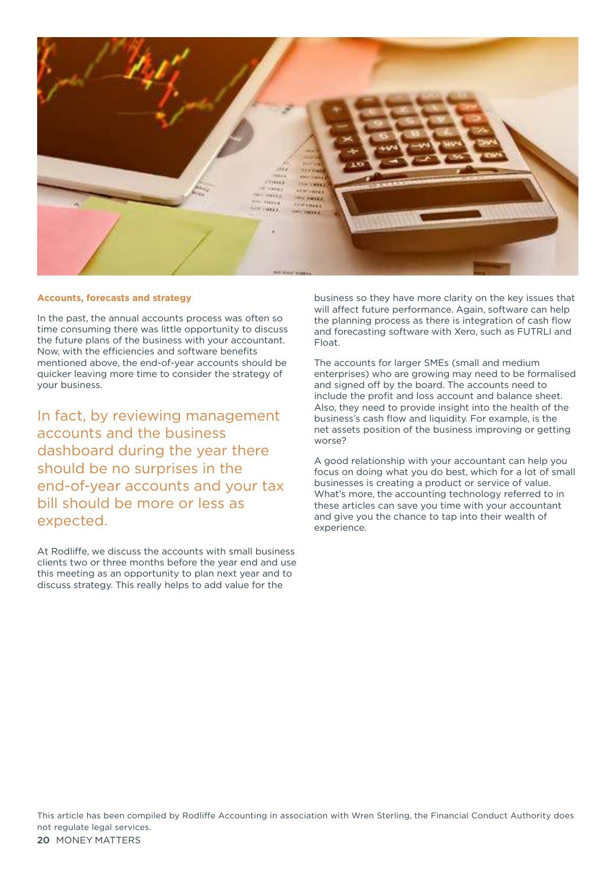

#### **Accounts, forecasts and strategy**

In the past, the annual accounts process was often so time consuming there was little opportunity to discuss the future plans of the business with your accountant. Now, with the efficiencies and software benefits mentioned above, the end-of-year accounts should be quicker leaving more time to consider the strategy of your business.

In fact, by reviewing management accounts and the business dashboard during the year there should be no surprises in the end-of-year accounts and your tax bill should be more or less as expected.

At Rodliffe, we discuss the accounts with small business clients two or three months before the year end and use this meeting as an opportunity to plan next year and to discuss strategy. This really helps to add value for the

business so they have more clarity on the key issues that will affect future performance. Again, software can help the planning process as there is integration of cash flow and forecasting software with Xero, such as FUTRLI and Float.

The accounts for larger SMEs (small and medium enterprises) who are growing may need to be formalised and signed off by the board. The accounts need to include the profit and loss account and balance sheet. Also, they need to provide insight into the health of the business's cash flow and liquidity. For example, is the net assets position of the business improving or getting worse?

A good relationship with your accountant can help you focus on doing what you do best, which for a lot of small businesses is creating a product or service of value. What's more, the accounting technology referred to in these articles can save you time with your accountant and give you the chance to tap into their wealth of experience.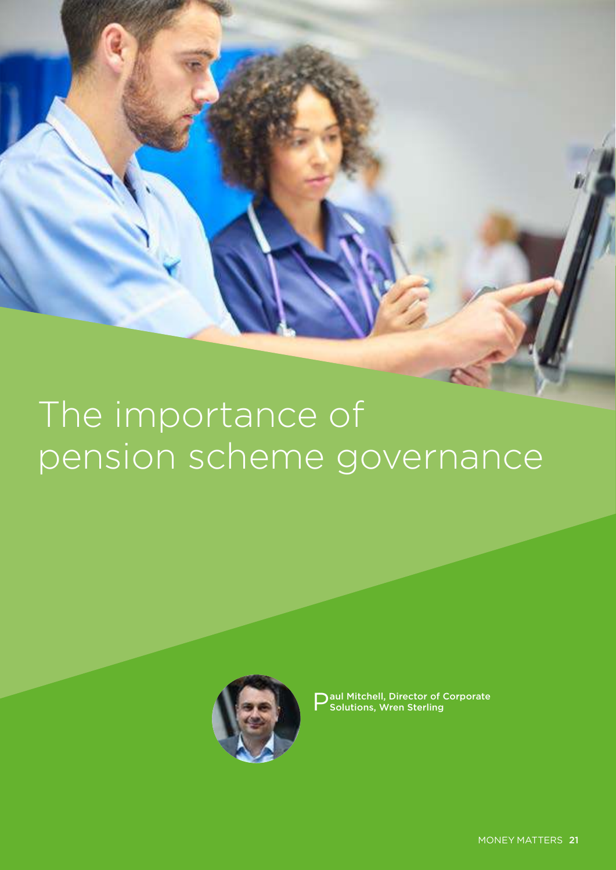## The importance of pension scheme governance



P aul Mitchell, Director of Corporate Solutions, Wren Sterling

MONEY MATTERS 21 MONEY MATTERS 21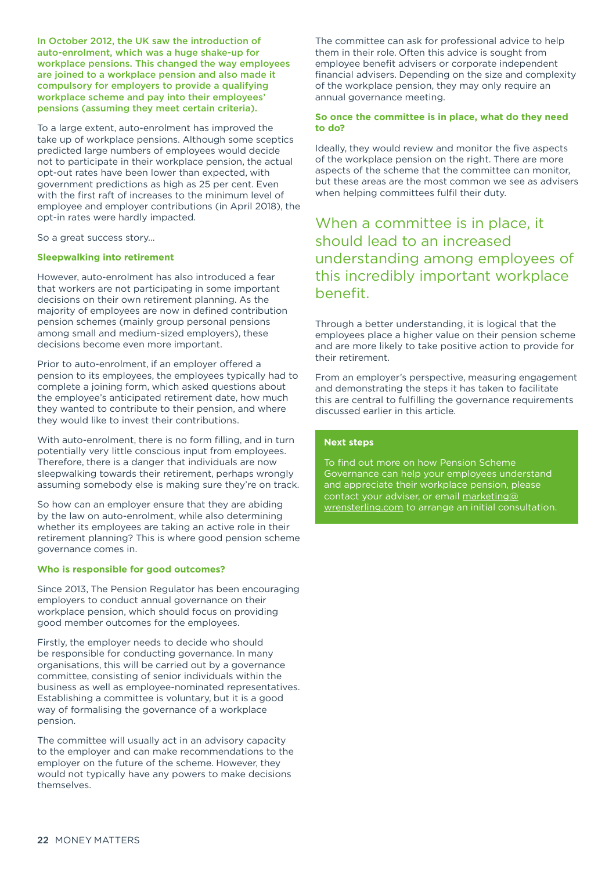In October 2012, the UK saw the introduction of auto-enrolment, which was a huge shake-up for workplace pensions. This changed the way employees are joined to a workplace pension and also made it compulsory for employers to provide a qualifying workplace scheme and pay into their employees' pensions (assuming they meet certain criteria).

To a large extent, auto-enrolment has improved the take up of workplace pensions. Although some sceptics predicted large numbers of employees would decide not to participate in their workplace pension, the actual opt-out rates have been lower than expected, with government predictions as high as 25 per cent. Even with the first raft of increases to the minimum level of employee and employer contributions (in April 2018), the opt-in rates were hardly impacted.

So a great success story…

#### **Sleepwalking into retirement**

However, auto-enrolment has also introduced a fear that workers are not participating in some important decisions on their own retirement planning. As the majority of employees are now in defined contribution pension schemes (mainly group personal pensions among small and medium-sized employers), these decisions become even more important.

Prior to auto-enrolment, if an employer offered a pension to its employees, the employees typically had to complete a joining form, which asked questions about the employee's anticipated retirement date, how much they wanted to contribute to their pension, and where they would like to invest their contributions.

With auto-enrolment, there is no form filling, and in turn potentially very little conscious input from employees. Therefore, there is a danger that individuals are now sleepwalking towards their retirement, perhaps wrongly assuming somebody else is making sure they're on track.

So how can an employer ensure that they are abiding by the law on auto-enrolment, while also determining whether its employees are taking an active role in their retirement planning? This is where good pension scheme governance comes in.

#### **Who is responsible for good outcomes?**

Since 2013, The Pension Regulator has been encouraging employers to conduct annual governance on their workplace pension, which should focus on providing good member outcomes for the employees.

Firstly, the employer needs to decide who should be responsible for conducting governance. In many organisations, this will be carried out by a governance committee, consisting of senior individuals within the business as well as employee-nominated representatives. Establishing a committee is voluntary, but it is a good way of formalising the governance of a workplace pension.

The committee will usually act in an advisory capacity to the employer and can make recommendations to the employer on the future of the scheme. However, they would not typically have any powers to make decisions themselves.

The committee can ask for professional advice to help them in their role. Often this advice is sought from employee benefit advisers or corporate independent financial advisers. Depending on the size and complexity of the workplace pension, they may only require an annual governance meeting.

#### **So once the committee is in place, what do they need to do?**

Ideally, they would review and monitor the five aspects of the workplace pension on the right. There are more aspects of the scheme that the committee can monitor, but these areas are the most common we see as advisers when helping committees fulfil their duty.

#### When a committee is in place, it should lead to an increased understanding among employees of this incredibly important workplace benefit.

Through a better understanding, it is logical that the employees place a higher value on their pension scheme and are more likely to take positive action to provide for their retirement.

From an employer's perspective, measuring engagement and demonstrating the steps it has taken to facilitate this are central to fulfilling the governance requirements discussed earlier in this article.

#### **Next steps**

To find out more on how Pension Scheme Governance can help your employees understand and appreciate their workplace pension, please contact your adviser, or email [marketing@](mailto:marketing@wrensterling.com) [wrensterling.com](mailto:marketing@wrensterling.com) to arrange an initial consultation.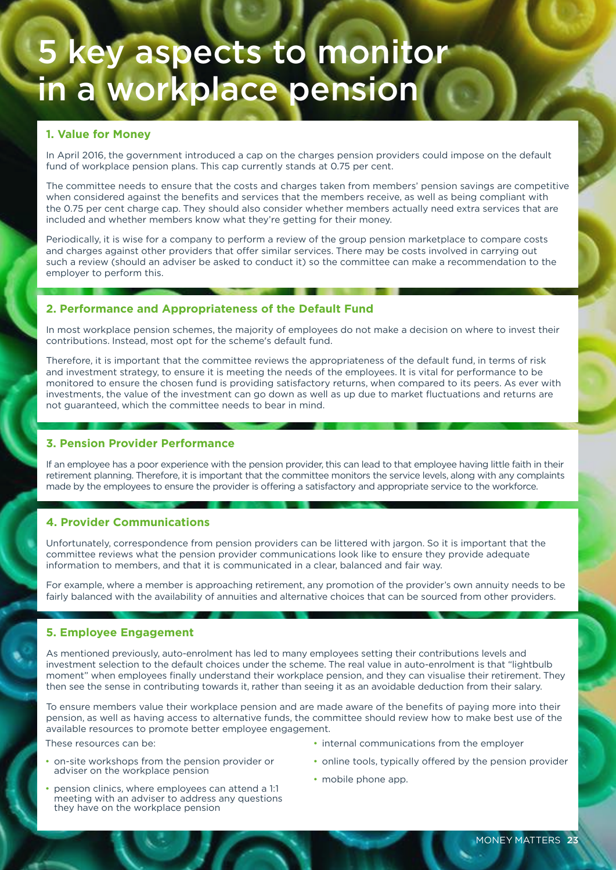## 5 key aspects to monitor in a workplace pension

#### **1. Value for Money**

In April 2016, the government introduced a cap on the charges pension providers could impose on the default fund of workplace pension plans. This cap currently stands at 0.75 per cent.

The committee needs to ensure that the costs and charges taken from members' pension savings are competitive when considered against the benefits and services that the members receive, as well as being compliant with the 0.75 per cent charge cap. They should also consider whether members actually need extra services that are included and whether members know what they're getting for their money.

Periodically, it is wise for a company to perform a review of the group pension marketplace to compare costs and charges against other providers that offer similar services. There may be costs involved in carrying out such a review (should an adviser be asked to conduct it) so the committee can make a recommendation to the employer to perform this.

#### **2. Performance and Appropriateness of the Default Fund**

In most workplace pension schemes, the majority of employees do not make a decision on where to invest their contributions. Instead, most opt for the scheme's default fund.

Therefore, it is important that the committee reviews the appropriateness of the default fund, in terms of risk and investment strategy, to ensure it is meeting the needs of the employees. It is vital for performance to be monitored to ensure the chosen fund is providing satisfactory returns, when compared to its peers. As ever with investments, the value of the investment can go down as well as up due to market fluctuations and returns are not guaranteed, which the committee needs to bear in mind.

#### **3. Pension Provider Performance**

If an employee has a poor experience with the pension provider, this can lead to that employee having little faith in their retirement planning. Therefore, it is important that the committee monitors the service levels, along with any complaints made by the employees to ensure the provider is offering a satisfactory and appropriate service to the workforce.

#### **4. Provider Communications**

Unfortunately, correspondence from pension providers can be littered with jargon. So it is important that the committee reviews what the pension provider communications look like to ensure they provide adequate information to members, and that it is communicated in a clear, balanced and fair way.

For example, where a member is approaching retirement, any promotion of the provider's own annuity needs to be fairly balanced with the availability of annuities and alternative choices that can be sourced from other providers.

#### **5. Employee Engagement**

As mentioned previously, auto-enrolment has led to many employees setting their contributions levels and investment selection to the default choices under the scheme. The real value in auto-enrolment is that "lightbulb moment" when employees finally understand their workplace pension, and they can visualise their retirement. They then see the sense in contributing towards it, rather than seeing it as an avoidable deduction from their salary.

To ensure members value their workplace pension and are made aware of the benefits of paying more into their pension, as well as having access to alternative funds, the committee should review how to make best use of the available resources to promote better employee engagement.

These resources can be:

- on-site workshops from the pension provider or adviser on the workplace pension
- pension clinics, where employees can attend a 1:1 meeting with an adviser to address any questions they have on the workplace pension
- internal communications from the employer
- online tools, typically offered by the pension provider
- mobile phone app.